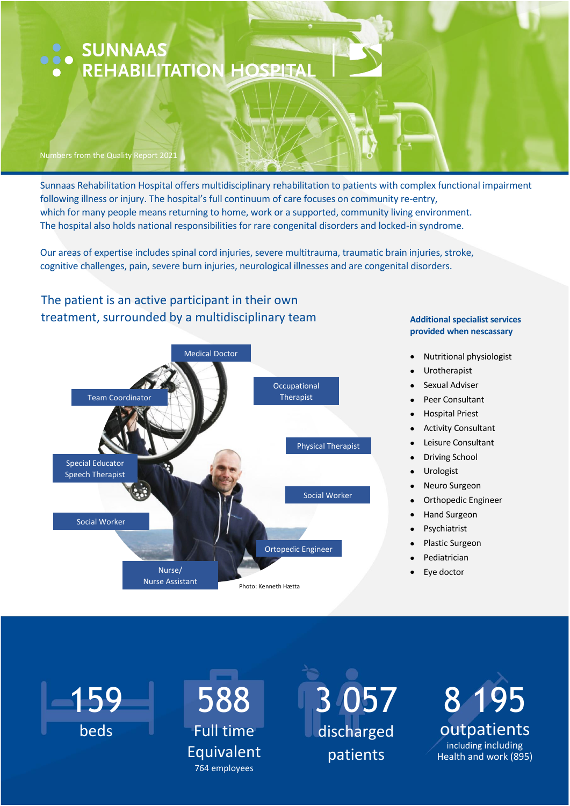# SUNNAAS<br>• REHABILITATION HOSPITAL

#### Numbers from the Quality Report 2021

Sunnaas Rehabilitation Hospital offers multidisciplinary rehabilitation to patients with complex functional impairment following illness or injury. The hospital's full continuum of care focuses on community re-entry, which for many people means returning to home, work or a supported, community living environment. The hospital also holds national responsibilities for rare congenital disorders and locked-in syndrome.

Our areas of expertise includes spinal cord injuries, severe multitrauma, traumatic brain injuries, stroke, cognitive challenges, pain, severe burn injuries, neurological illnesses and are congenital disorders.

#### The patient is an active participant in their own treatment, surrounded by a multidisciplinary team **Additional specialist services**



## **provided when nescassary**

- Nutritional physiologist
- Urotherapist
- Sexual Adviser
- Peer Consultant
- Hospital Priest
- Activity Consultant
- Leisure Consultant
- Driving School
- Urologist
- Neuro Surgeon
- Orthopedic Engineer
- Hand Surgeon
- Psychiatrist
- Plastic Surgeon
- Pediatrician
- Eye doctor



# 588 Full time Equivalent 764 employees

3 057 discharged patients